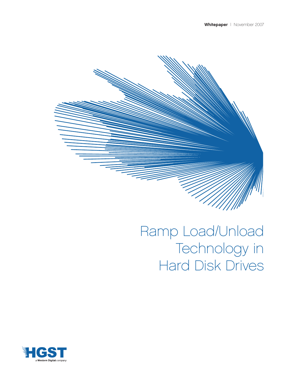

# Ramp Load/Unload Technology in Hard Disk Drives

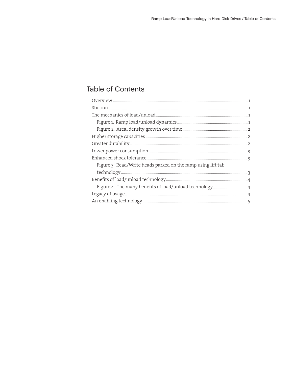# **Table of Contents**

| Figure 3. Read/Write heads parked on the ramp using lift tab |  |
|--------------------------------------------------------------|--|
|                                                              |  |
|                                                              |  |
|                                                              |  |
|                                                              |  |
|                                                              |  |
|                                                              |  |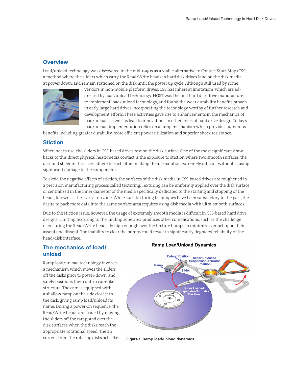### **Overview**

Load/unload technology was discovered in the mid-1990s as a viable alternative to Contact Start-Stop (CSS), a method where the sliders which carry the Read/Write heads in hard disk drives land on the disk media at power down, and remain stationed on the disk until the power up cycle. Although still used by some



vendors in non-mobile platform drives, CSS has inherent limitations which are addressed by load/unload technology. HGST was the first hard disk drive manufacturer to implement load/unload technology, and found the wear durability benefits proven in early large hard drives incorporating the technology worthy of further research and development efforts. These activities gave rise to enhancements in the mechanics of load/unload, as well as lead to innovations in other areas of hard drive design. Today's load/unload implementation relies on a ramp mechanism which provides numerous

benefits including greater durability, more efficient power utilization and superior shock resistance.

#### Stiction

When not in use, the sliders in CSS-based drives rest on the disk surface. One of the most significant drawbacks to this direct physical head-media contact is the exposure to stiction where two smooth surfaces, the disk and slider in this case, adhere to each other making their separation extremely difficult without causing significant damage to the components.

To avoid the negative affects of stiction, the surfaces of the disk media in CSS-based drives are roughened in a precision manufacturing process called texturing. Texturing can be uniformly applied over the disk surface or centralized in the inner diameter of the media specifically dedicated to the starting and stopping of the heads, known as the start/stop zone. While such texturing techniques have been satisfactory in the past, the desire to pack more data into the same surface area requires using disk media with ultra-smooth surfaces.

Due to the stiction issue, however, the usage of extremely smooth media is difficult in CSS-based hard drive designs. Limiting texturing to the landing zone area produces other complications, such as the challenge of ensuring the Read/Write heads fly high enough over the texture bumps to minimize contact upon their assent and dissent. The inability to clear the bumps could result in significantly degraded reliability of the head/disk interface.

## The mechanics of load/ unload

Ramp load/unload technology involves a mechanism which moves the sliders off the disks prior to power-down, and safely positions them onto a cam-like structure. The cam is equipped with a shallow ramp on the side closest to the disk, giving ramp load/unload its name. During a power-on sequence, the Read/Write heads are loaded by moving the sliders off the ramp, and over the disk surfaces when the disks reach the appropriate rotational speed. The air current from the rotating disks acts like

#### **Ramp Load/Unload Dynamics**



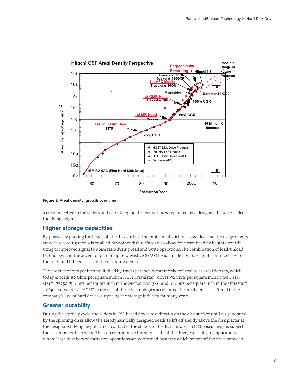



a cushion between the sliders and disks, keeping the two surfaces separated by a designed distance, called the flying height.

#### Higher storage capacities

By physically parking the heads off the disk surface, the problem of stiction is avoided, and the usage of very smooth recording media is enabled. Smoother disk surfaces also allow for closer head fly heights, contributing to improved signal to noise ratio during read and write operations. The combination of load/unload technology and the advent of giant magnetoresistive (GMR) heads made possible significant increases to the track and bit densities on the recording media.

The product of bits per inch multiplied by tracks per inch is commonly referred to as areal density, which today exceeds 80 Gbits per square inch in HGST Travelstar® drives, 92 Gbits per square inch in the Deskstar® T7K250, 78 Gbits per square inch in the Microdrive® 3K6, and 61 Gbits per square inch in the Ultrastar® 10K300 server drive. HGST's early use of these technologies accelerated the areal densities offered in the company's line of hard drives, outpacing the storage industry for many years.

#### Greater durability

During the start-up cycle, the sliders in CSS-based drives rest directly on the disk surface until air generated by the spinning disks allow the aerodynamically designed heads to lift off and fly above the disk platter at the designated flying height. Direct contact of the sliders to the disk surfaces in CSS-based designs subject these components to wear. This can compromise the service life of the drive, especially in applications where large numbers of start/stop operations are performed. Systems which power off the drive between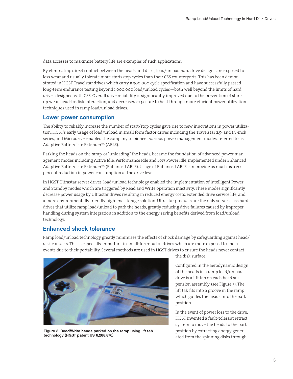data accesses to maximize battery life are examples of such applications.

By eliminating direct contact between the heads and disks, load/unload hard drive designs are exposed to less wear and usually tolerate more start/stop cycles than their CSS counterparts. This has been demonstrated in HGST Travelstar drives which carry a 300,000 cycle specification and have successfully passed long-term endurance testing beyond 1,000,000 load/unload cycles—both well beyond the limits of hard drives designed with CSS. Overall drive reliability is significantly improved due to the prevention of startup wear, head-to-disk interaction, and decreased exposure to heat through more efficient power utilization techniques used in ramp load/unload drives.

#### Lower power consumption

The ability to reliably increase the number of start/stop cycles gave rise to new innovations in power utilization. HGST's early usage of load/unload in small form factor drives including the Travelstar 2.5- and 1.8-inch series, and Microdrive, enabled the company to pioneer various power management modes, referred to as Adaptive Battery Life Extender™ (ABLE).

Parking the heads on the ramp, or "unloading" the heads, became the foundation of advanced power management modes including Active Idle, Performance Idle and Low Power Idle, implemented under Enhanced Adaptive Battery Life Extender™ (Enhanced ABLE). Usage of Enhanced ABLE can provide as much as a 20 percent reduction in power consumption at the drive level.

In HGST Ultrastar server drives, load/unload technology enabled the implementation of intelligent Power and Standby modes which are triggered by Read and Write operation inactivity. These modes significantly decrease power usage by Ultrastar drives resulting in reduced energy costs, extended drive service life, and a more environmentally friendly high-end storage solution. Ultrastar products are the only server-class hard drives that utilize ramp load/unload to park the heads; greatly reducing drive failures caused by improper handling during system integration in addition to the energy saving benefits derived from load/unload technology.

#### Enhanced shock tolerance

Ramp load/unload technology greatly minimizes the effects of shock damage by safeguarding against head/ disk contacts. This is especially important in small-form-factor drives which are more exposed to shock events due to their portability. Several methods are used in HGST drives to ensure the heads never contact



Figure 3. Read/Write heads parked on the ramp using lift tab technology (HGST patent US 6,288,876)

the disk surface.

Configured in the aerodynamic design of the heads in a ramp load/unload drive is a lift tab on each head suspension assembly, (see Figure 3). The lift tab fits into a groove in the ramp which guides the heads into the park position.

In the event of power loss to the drive, HGST invented a fault-tolerant retract system to move the heads to the park position by extracting energy generated from the spinning disks through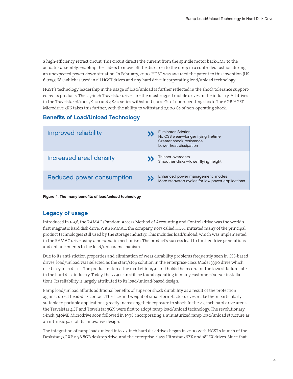a high-efficiency retract circuit. This circuit directs the current from the spindle motor back-EMF to the actuator assembly, enabling the sliders to move off the disk area to the ramp in a controlled fashion during an unexpected power down situation. In February, 2000, HGST was awarded the patent to this invention (US 6,025,968), which is used in all HGST drives and any hard drive incorporating load/unload technology.

HGST's technology leadership in the usage of load/unload is further reflected in the shock tolerance supported by its products. The 2.5-inch Travelstar drives are the most rugged mobile drives in the industry. All drives in the Travelstar 7K100, 5K100 and 4K40 series withstand 1,000 Gs of non-operating shock. The 6GB HGST Microdrive 3K6 takes this further, with the ability to withstand 2,000 Gs of non-operating shock.

# Benefits of Load/Unload Technology

| Improved reliability      | <b>Eliminates Stiction</b><br>No CSS wear-longer flying lifetime<br>Greater shock resistance<br>Lower heat dissipation |
|---------------------------|------------------------------------------------------------------------------------------------------------------------|
| Increased areal density   | Thinner overcoats<br>Smoother disks-lower flying height                                                                |
| Reduced power consumption | Enhanced power management modes<br>More start/stop cycles for low power applications                                   |

Figure 4. The many benefits of load/unload technology

# Legacy of usage

Introduced in 1956, the RAMAC (Random Access Method of Accounting and Control) drive was the world's first magnetic hard disk drive. With RAMAC, the company now called HGST initiated many of the principal product technologies still used by the storage industry. This includes load/unload, which was implemented in the RAMAC drive using a pneumatic mechanism. The product's success lead to further drive generations and enhancements to the load/unload mechanism.

Due to its anti-stiction properties and elimination of wear durability problems frequently seen in CSS-based drives, load/unload was selected as the start/stop solution in the enterprise-class Model 3390 drive which used 10.5-inch disks. The product entered the market in 1991 and holds the record for the lowest failure rate in the hard disk industry. Today, the 3390 can still be found operating in many customers' server installations. Its reliability is largely attributed to its load/unload-based design.

Ramp load/unload affords additional benefits of superior shock durability as a result of the protection against direct head-disk contact. The size and weight of small-form-factor drives make them particularly suitable to portable applications, greatly increasing their exposure to shock. In the 2.5-inch hard drive arena, the Travelstar 4GT and Travelstar 3GN were first to adopt ramp load/unload technology. The revolutionary 1-inch, 340MB Microdrive soon followed in 1998, incorporating a miniaturized ramp load/unload structure as an intrinsic part of its innovative design.

The integration of ramp load/unload into 3.5-inch hard disk drives began in 2000 with HGST's launch of the Deskstar 75GXP, a 76.8GB desktop drive, and the enterprise-class Ultrastar 36ZX and 18LZX drives. Since that